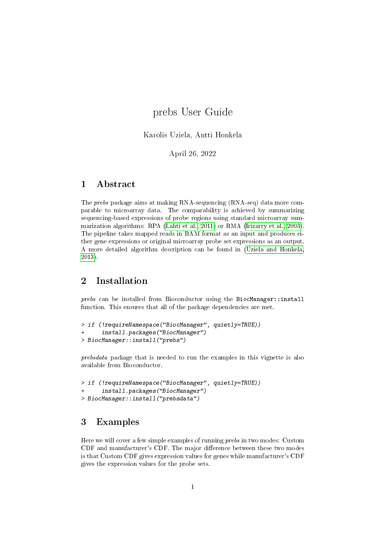# prebs User Guide

Karolis Uziela, Antti Honkela

April 26, 2022

### 1 Abstract

The prebs package aims at making RNA-sequencing (RNA-seq) data more comparable to microarray data. The comparability is achieved by summarizing sequencing-based expressions of probe regions using standard microarray summarization algorithms: RPA [\(Lahti et al., 2011\)](#page-11-0) or RMA [\(Irizarry et al., 2003\)](#page-11-1). The pipeline takes mapped reads in BAM format as an input and produces either gene expressions or original microarray probe set expressions as an output. A more detailed algorithm description can be found in [\(Uziela and Honkela,](#page-11-2) [2013\)](#page-11-2).

## 2 Installation

prebs can be installed from Bioconductor using the BiocManager::install function. This ensures that all of the package dependencies are met.

```
> if (!requireNamespace("BiocManager", quietly=TRUE))
+ install.packages("BiocManager")
> BiocManager::install("prebs")
```
prebsdata package that is needed to run the examples in this vignette is also available from Bioconductor.

```
> if (!requireNamespace("BiocManager", quietly=TRUE))
+ install.packages("BiocManager")
> BiocManager::install("prebsdata")
```
### <span id="page-0-0"></span>3 Examples

Here we will cover a few simple examples of running prebs in two modes: Custom CDF and manufacturer's CDF. The major difference between these two modes is that Custom CDF gives expression values for genes while manufacturer's CDF gives the expression values for the probe sets.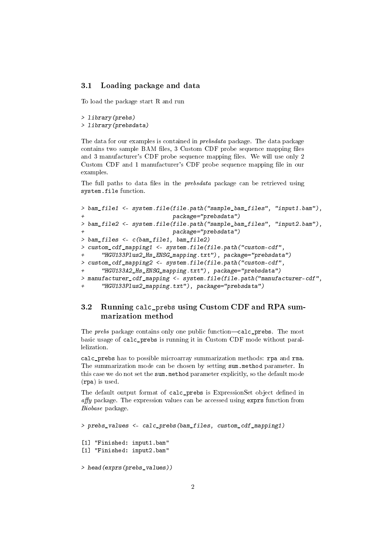#### 3.1 Loading package and data

To load the package start R and run

```
> library(prebs)
```

```
> library(prebsdata)
```
The data for our examples is contained in prebsdata package. The data package contains two sample BAM files, 3 Custom CDF probe sequence mapping files and 3 manufacturer's CDF probe sequence mapping files. We will use only 2 Custom CDF and 1 manufacturer's CDF probe sequence mapping file in our examples.

The full paths to data files in the  $prebsdata$  package can be retrieved using system.file function.

```
> bam_file1 <- system.file(file.path("sample_bam_files", "input1.bam"),
+ package="prebsdata")
> bam_file2 <- system.file(file.path("sample_bam_files", "input2.bam"),
                         package="prebsdata")
> bam_files <- c(bam_file1, bam_file2)
> custom_cdf_mapping1 <- system.file(file.path("custom-cdf",
+ "HGU133Plus2_Hs_ENSG_mapping.txt"), package="prebsdata")
> custom_cdf_mapping2 <- system.file(file.path("custom-cdf",
+ "HGU133A2_Hs_ENSG_mapping.txt"), package="prebsdata")
> manufacturer_cdf_mapping <- system.file(file.path("manufacturer-cdf",
      "HGU133Plus2_mapping.txt"), package="prebsdata")
```
### 3.2 Running calc\_prebs using Custom CDF and RPA summarization method

The  $\emph{prebs}$  package contains only one public function-calc\_prebs. The most basic usage of calc\_prebs is running it in Custom CDF mode without parallelization.

calc\_prebs has to possible microarray summarization methods: rpa and rma. The summarization mode can be chosen by setting sum.method parameter. In this case we do not set the sum.method parameter explicitly, so the default mode (rpa) is used.

The default output format of calc\_prebs is ExpressionSet object defined in  $affy$  package. The expression values can be accessed using exprs function from Biobase package.

```
> prebs values \leq calc prebs(bam files, custom cdf mapping1)
[1] "Finished: input1.bam"
[1] "Finished: input2.bam"
> head(exprs(prebs_values))
```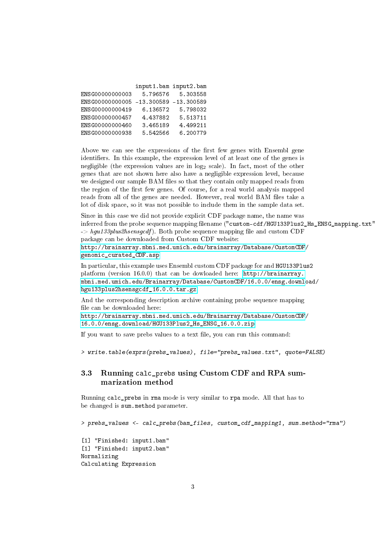|                                       | input1.bam input2.bam |          |
|---------------------------------------|-----------------------|----------|
| ENSG0000000003                        | 5.796576              | 5.303558 |
| ENSG00000000005 -13.300589 -13.300589 |                       |          |
| ENSG00000000419                       | 6.136572              | 5.798032 |
| ENSG00000000457                       | 4.437882              | 5.513711 |
| ENSG00000000460                       | 3.465189              | 4.499211 |
| ENSG00000000938                       | 5.542566              | 6.200779 |

Above we can see the expressions of the first few genes with Ensembl gene identifiers. In this example, the expression level of at least one of the genes is negligible (the expression values are in  $log_2$  scale). In fact, most of the other genes that are not shown here also have a negligible expression level, because we designed our sample BAM files so that they contain only mapped reads from the region of the first few genes. Of course, for a real world analysis mapped reads from all of the genes are needed. However, real world BAM files take a lot of disk space, so it was not possible to include them in the sample data set.

Since in this case we did not provide explicit CDF package name, the name was inferred from the probe sequence mapping filename ("custom-cdf/HGU133Plus2\_Hs\_ENSG\_mapping.txt"  $\geq$  hgu133plus2hsensgcdf). Both probe sequence mapping file and custom CDF package can be downloaded from Custom CDF website: [http://brainarray.mbni.med.umich.edu/brainarray/Database/CustomCDF](http://brainarray.mbni.med.umich.edu/brainarray/Database/CustomCDF/genomic_curated_CDF.asp)/

[genomic\\_curated\\_CDF.asp](http://brainarray.mbni.med.umich.edu/brainarray/Database/CustomCDF/genomic_curated_CDF.asp)

In particular, this example uses Ensembl custom CDF package for and HGU133Plus2 platform (version 16.0.0) that can be dowloaded here: [http://brainarray.](http://brainarray.mbni.med.umich.edu/Brainarray/Database/CustomCDF/16.0.0/ensg.download/hgu133plus2hsensgcdf_16.0.0.tar.gz) [mbni.med.umich.edu/Brainarray/Database/CustomCDF/16.0.0/ensg.downl](http://brainarray.mbni.med.umich.edu/Brainarray/Database/CustomCDF/16.0.0/ensg.download/hgu133plus2hsensgcdf_16.0.0.tar.gz)oad/ [hgu133plus2hsensgcdf\\_16.0.0.tar.gz](http://brainarray.mbni.med.umich.edu/Brainarray/Database/CustomCDF/16.0.0/ensg.download/hgu133plus2hsensgcdf_16.0.0.tar.gz)

And the corresponding description archive containing probe sequence mapping file can be downloaded here:

[http://brainarray.mbni.med.umich.edu/Brainarray/Database/CustomCDF](http://brainarray.mbni.med.umich.edu/Brainarray/Database/CustomCDF/16.0.0/ensg.download/HGU133Plus2_Hs_ENSG_16.0.0.zip)/ [16.0.0/ensg.download/HGU133Plus2\\_Hs\\_ENSG\\_16.0.0.zip](http://brainarray.mbni.med.umich.edu/Brainarray/Database/CustomCDF/16.0.0/ensg.download/HGU133Plus2_Hs_ENSG_16.0.0.zip)

If you want to save prebs values to a text file, you can run this command:

> write.table(exprs(prebs\_values), file="prebs\_values.txt", quote=FALSE)

### 3.3 Running calc\_prebs using Custom CDF and RPA summarization method

Running calc\_prebs in rma mode is very similar to rpa mode. All that has to be changed is sum.method parameter.

> prebs\_values <- calc\_prebs(bam\_files, custom\_cdf\_mapping1, sum.method="rma")

[1] "Finished: input1.bam" [1] "Finished: input2.bam" Normalizing Calculating Expression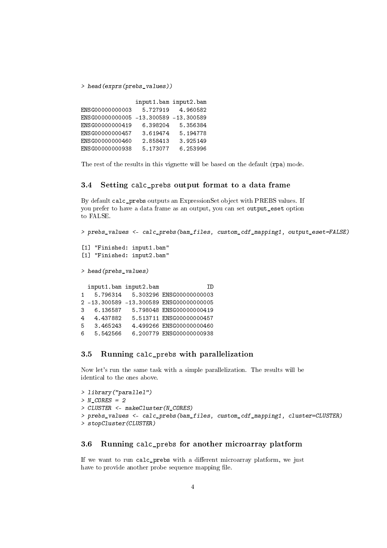> head(exprs(prebs\_values))

|                 | input1.bam input2.bam   |          |
|-----------------|-------------------------|----------|
| ENSG0000000003  | 5.727919                | 4.960582 |
| ENSG0000000005  | $-13,300589 -13,300589$ |          |
| ENSG00000000419 | 6.398204                | 5.356384 |
| ENSG00000000457 | 3.619474                | 5.194778 |
| ENSG00000000460 | 2.858413                | 3.925149 |
| ENSG00000000938 | 5.173077                | 6.253996 |

The rest of the results in this vignette will be based on the default (rpa) mode.

#### 3.4 Setting calc\_prebs output format to a data frame

By default calc\_prebs outputs an ExpressionSet object with PREBS values. If you prefer to have a data frame as an output, you can set output\_eset option to FALSE.

> prebs\_values <- calc\_prebs(bam\_files, custom\_cdf\_mapping1, output\_eset=FALSE) [1] "Finished: input1.bam" [1] "Finished: input2.bam" > head(prebs\_values) input1.bam input2.bam ID 1 5.796314 5.303296 ENSG00000000003 2 -13.300589 -13.300589 ENSG00000000005 3 6.136587 5.798048 ENSG00000000419 4 4.437882 5.513711 ENSG00000000457 5 3.465243 4.499266 ENSG00000000460 6 5.542566 6.200779 ENSG00000000938

#### 3.5 Running calc\_prebs with parallelization

Now let's run the same task with a simple parallelization. The results will be identical to the ones above.

```
> library("parallel")
> N CORES = 2
> CLUSTER <- makeCluster(N_CORES)
> prebs_values <- calc_prebs(bam_files, custom_cdf_mapping1, cluster=CLUSTER)
> stopCluster(CLUSTER)
```
#### 3.6 Running calc\_prebs for another microarray platform

If we want to run calc\_prebs with a different microarray platform, we just have to provide another probe sequence mapping file.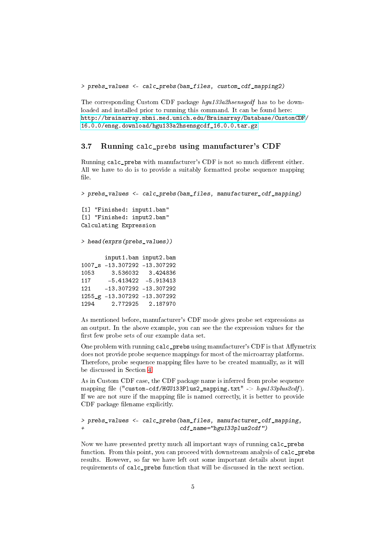> prebs\_values <- calc\_prebs(bam\_files, custom\_cdf\_mapping2)

The corresponding Custom CDF package hgu133a2hsensgcdf has to be downloaded and installed prior to running this command. It can be found here: [http://brainarray.mbni.med.umich.edu/Brainarray/Database/CustomCDF](http://brainarray.mbni.med.umich.edu/Brainarray/Database/CustomCDF/16.0.0/ensg.download/hgu133a2hsensgcdf_16.0.0.tar.gz)/ [16.0.0/ensg.download/hgu133a2hsensgcdf\\_16.0.0.tar.gz](http://brainarray.mbni.med.umich.edu/Brainarray/Database/CustomCDF/16.0.0/ensg.download/hgu133a2hsensgcdf_16.0.0.tar.gz)

#### 3.7 Running calc\_prebs using manufacturer's CDF

Running calc prebs with manufacturer's CDF is not so much different either. All we have to do is to provide a suitably formatted probe sequence mapping file.

> prebs\_values <- calc\_prebs(bam\_files, manufacturer\_cdf\_mapping) [1] "Finished: input1.bam" [1] "Finished: input2.bam" Calculating Expression > head(exprs(prebs\_values)) input1.bam input2.bam 1007\_s -13.307292 -13.307292 1053 3.536032 3.424836 117 -5.413422 -5.913413 121 -13.307292 -13.307292 1255\_g -13.307292 -13.307292 1294 2.772925 2.187970

As mentioned before, manufacturer's CDF mode gives probe set expressions as an output. In the above example, you can see the the expression values for the first few probe sets of our example data set.

One problem with running calc\_prebs using manufacturer's CDF is that Affymetrix does not provide probe sequence mappings for most of the microarray platforms. Therefore, probe sequence mapping files have to be created manually, as it will be discussed in Section [4.](#page-5-0)

As in Custom CDF case, the CDF package name is inferred from probe sequence mapping file ("custom-cdf/HGU133Plus2 mapping.txt"  $\rightarrow$  hgu133plus2cdf). If we are not sure if the mapping file is named correctly, it is better to provide CDF package filename explicitly.

```
> prebs_values <- calc_prebs(bam_files, manufacturer_cdf_mapping,
+ cdf_name="hgu133plus2cdf")
```
Now we have presented pretty much all important ways of running calc\_prebs function. From this point, you can proceed with downstream analysis of calc\_prebs results. However, so far we have left out some important details about input requirements of calc prebs function that will be discussed in the next section.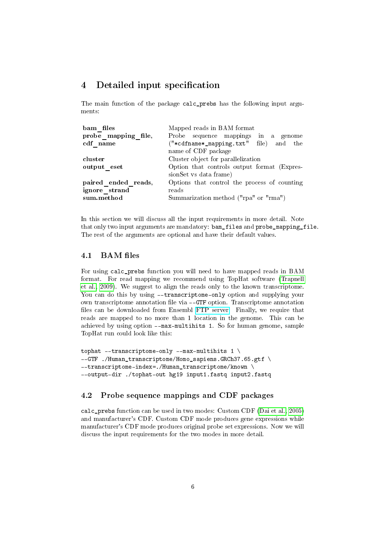### <span id="page-5-0"></span>4 Detailed input specification

The main function of the package calc\_prebs has the following input arguments:

| bam files           | Mapped reads in BAM format                                            |  |  |
|---------------------|-----------------------------------------------------------------------|--|--|
| probe mapping file, | Probe sequence mappings in a genome                                   |  |  |
| cdf name            | ("*cdfname*_mapping.txt" file) and the                                |  |  |
|                     | name of CDF package                                                   |  |  |
| cluster             | Cluster object for parallelization                                    |  |  |
| output eset         | Option that controls output format (Expres-<br>sionSet vs data frame) |  |  |
| paired ended reads, | Options that control the process of counting                          |  |  |
| ignore strand       | reads                                                                 |  |  |
| sum.method          | Summarization method ("rpa" or "rma")                                 |  |  |

In this section we will discuss all the input requirements in more detail. Note that only two input arguments are mandatory: bam\_files and probe\_mapping\_file. The rest of the arguments are optional and have their default values.

#### 4.1 BAM files

For using calc\_prebs function you will need to have mapped reads in BAM format. For read mapping we recommend using TopHat software [\(Trapnell](#page-11-3) [et al., 2009\)](#page-11-3). We suggest to align the reads only to the known transcriptome. You can do this by using --transcriptome-only option and supplying your own transcriptome annotation file via --GTF option. Transcriptome annotation files can be downloaded from Ensembl [FTP server.](http://www.ensembl.org/info/data/ftp/index.html) Finally, we require that reads are mapped to no more than 1 location in the genome. This can be achieved by using option --max-multihits 1. So for human genome, sample TopHat run could look like this:

```
tophat --transcriptome-only --max-multihits 1 \
--GTF ./Human_transcriptome/Homo_sapiens.GRCh37.65.gtf \
--transcriptome-index=./Human_transcriptome/known \
--output-dir ./tophat-out hg19 input1.fastq input2.fastq
```
### 4.2 Probe sequence mappings and CDF packages

calc\_prebs function can be used in two modes: Custom CDF [\(Dai et al., 2005\)](#page-11-4) and manufacturer's CDF. Custom CDF mode produces gene expressions while manufacturer's CDF mode produces original probe set expressions. Now we will discuss the input requirements for the two modes in more detail.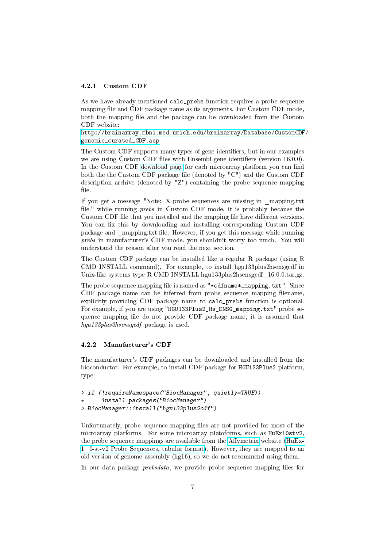#### 4.2.1 Custom CDF

As we have already mentioned calc\_prebs function requires a probe sequence mapping file and CDF package name as its arguments. For Custom CDF mode, both the mapping file and the package can be downloaded from the Custom CDF website:

[http://brainarray.mbni.med.umich.edu/brainarray/Database/CustomCDF](http://brainarray.mbni.med.umich.edu/brainarray/Database/CustomCDF/genomic_curated_CDF.asp)/ [genomic\\_curated\\_CDF.asp](http://brainarray.mbni.med.umich.edu/brainarray/Database/CustomCDF/genomic_curated_CDF.asp)

The Custom CDF supports many types of gene identifiers, but in our examples we are using Custom CDF files with Ensembl gene identifiers (version 16.0.0). In the Custom CDF [download page](http://brainarray.mbni.med.umich.edu/Brainarray/Database/CustomCDF/16.0.0/ensg.asp) for each microarray platform you can find both the the Custom CDF package file (denoted by "C") and the Custom CDF description archive (denoted by "Z") containing the probe sequence mapping file.

If you get a message "Note: X probe sequences are missing in \_mapping.txt file." while running prebs in Custom CDF mode, it is probably because the Custom CDF file that you installed and the mapping file have different versions. You can fix this by downloading and installing corresponding Custom CDF package and \_mapping.txt file. However, if you get this message while running prebs in manufacturer's CDF mode, you shouldn't worry too much. You will understand the reason after you read the next section.

The Custom CDF package can be installed like a regular R package (using R CMD INSTALL command). For example, to install hgu133plus2hsensgcdf in Unix-like systems type R CMD INSTALL hgu133plus2hsensgcdf\_16.0.0.tar.gz.

The probe sequence mapping file is named as "\*cdfname\*\_mapping.txt". Since CDF package name can be inferred from probe sequence mapping lename, explicitly providing CDF package name to calc\_prebs function is optional. For example, if you are using "HGU133Plus2\_Hs\_ENSG\_mapping.txt" probe sequence mapping file do not provide CDF package name, it is assumed that hgu133plus2hsensgcdf package is used.

#### 4.2.2 Manufacturer's CDF

The manufacturer's CDF packages can be downloaded and installed from the bioconductor. For example, to install CDF package for HGU133Plus2 platform, type:

```
> if (!requireNamespace("BiocManager", quietly=TRUE))
      install.packages("BiocManager")
> BiocManager::install("hgu133plus2cdf")
```
Unfortunately, probe sequence mapping files are not provided for most of the microarray platforms. For some microarray platoforms, such as HuEx10stv2, the probe sequence mappings are available from the Affymetrix website [\(HuEx-](http://www.affymetrix.com/Auth/analysis/downloads/na25/wtexon/HuEx-1_0-st-v2.probe.tab.zip)[1\\_0-st-v2 Probe Sequences, tabular format\)](http://www.affymetrix.com/Auth/analysis/downloads/na25/wtexon/HuEx-1_0-st-v2.probe.tab.zip). However, they are mapped to an old version of genome assembly (hg16), so we do not recommend using them.

In our data package  $\text{prebsdata}$ , we provide probe sequence mapping files for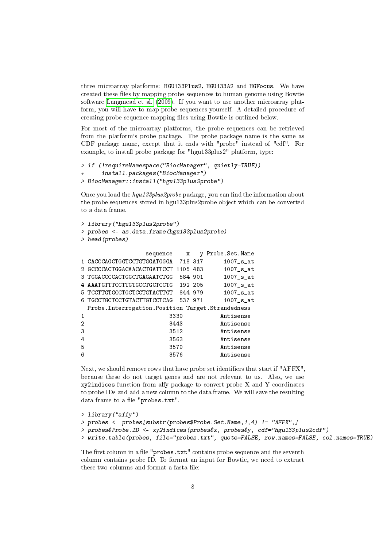three microarray platforms: HGU133Plus2, HGU133A2 and HGFocus. We have created these files by mapping probe sequences to human genome using Bowtie software [Langmead et al.](#page-11-5) [\(2009\)](#page-11-5). If you want to use another microarray platform, you will have to map probe sequences yourself. A detailed procedure of creating probe sequence mapping files using Bowtie is outlined below.

For most of the microarray platforms, the probe sequences can be retrieved from the platform's probe package. The probe package name is the same as CDF package name, except that it ends with "probe" instead of "cdf". For example, to install probe package for "hgu133plus2" platform, type:

```
> if (!requireNamespace("BiocManager", quietly=TRUE))
+ install.packages("BiocManager")
> BiocManager::install("hgu133plus2probe")
```
Once you load the  $hgu133 plus2 probe$  package, you can find the information about the probe sequences stored in hgu133plus2probe object which can be converted to a data frame.

```
> library("hgu133plus2probe")
> probes <- as.data.frame(hgu133plus2probe)
> head(probes)
```

|    | sequence                                            | x        | v       | Probe.Set.Name |
|----|-----------------------------------------------------|----------|---------|----------------|
|    | 1 CACCCAGCTGGTCCTGTGGATGGGA                         | 718 317  |         | $1007$ s at    |
|    | 2 GCCCCACTGGACAACACTGATTCCT                         | 1105 483 |         | 1007 s at      |
|    | 3 TGGACCCCACTGGCTGAGAATCTGG                         | 584 901  |         | 1007 s at      |
|    | AAATGTTTCCTTGTGCCTGCTCCTG                           |          | 192 205 | $1007$ s at    |
|    | 5 TCCTTGTGCCTGCTCCTGTACTTGT                         | 844 979  |         | $1007$ s at    |
| 6. | TGCCTGCTCCTGTACTTGTCCTCAG                           | 537 971  |         | 1007 s at      |
|    | Probe. Interrogation. Position Target. Strandedness |          |         |                |
|    |                                                     | 3330     |         | Antisense      |
| 2  |                                                     | 3443     |         | Antisense      |
| 3  |                                                     | 3512     |         | Antisense      |
| 4  |                                                     | 3563     |         | Antisense      |
| 5  |                                                     | 3570     |         | Antisense      |
| 6  |                                                     | 3576     |         | Antisense      |
|    |                                                     |          |         |                |

Next, we should remove rows that have probe set identifiers that start if "AFFX", because these do not target genes and are not relevant to us. Also, we use  $xy2$ indices function from affy package to convert probe X and Y coordinates to probe IDs and add a new column to the data frame. We will save the resulting data frame to a file "probes.txt".

```
> library("affy")
> probes <- probes[substr(probes$Probe.Set.Name,1,4) != "AFFX",]
> probes$Probe.ID <- xy2indices(probes$x, probes$y, cdf="hgu133plus2cdf")
> write.table(probes, file="probes.txt", quote=FALSE, row.names=FALSE, col.names=TRUE)
```
The first column in a file "probes.txt" contains probe sequence and the seventh column contains probe ID. To format an input for Bowtie, we need to extract these two columns and format a fasta file: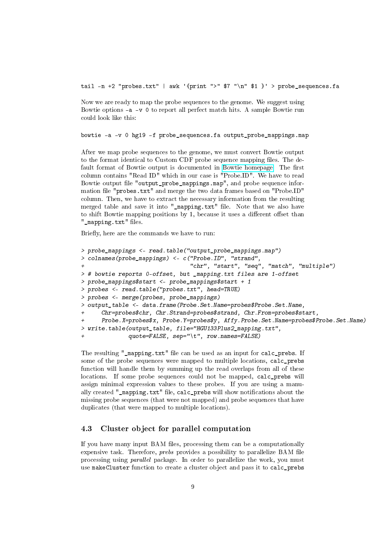tail -n +2 "probes.txt" | awk '{print ">"  $\gamma$ " \n"  $\gamma$ 1 }' > probe\_sequences.fa

Now we are ready to map the probe sequences to the genome. We suggest using Bowtie options -a -v 0 to report all perfect match hits. A sample Bowtie run could look like this:

bowtie -a -v 0 hg19 -f probe\_sequences.fa output\_probe\_mappings.map

After we map probe sequences to the genome, we must convert Bowtie output to the format identical to Custom CDF probe sequence mapping files. The de-fault format of Bowtie output is documented in [Bowtie homepage.](http://bowtie-bio.sourceforge.net/manual.shtml#default-bowtie-output) The first column contains "Read ID" which in our case is "Probe.ID". We have to read Bowtie output file "output\_probe\_mappings.map", and probe sequence information file "probes.txt" and merge the two data frames based on "Probe.ID" column. Then, we have to extract the necessary information from the resulting merged table and save it into "\_mapping.txt" file. Note that we also have to shift Bowtie mapping positions by 1, because it uses a different offset than "\_mapping.txt" files.

Briefly, here are the commands we have to run:

```
> probe_mappings <- read.table("output_probe_mappings.map")
> colnames(probe_mappings) <- c("Probe.ID", "strand",
                                 "chr", "start", "seq", "match", "multiple")
> # bowtie reports 0-offset, but _mapping.txt files are 1-offset
> probe_mappings$start <- probe_mappings$start + 1
> probes <- read.table("probes.txt", head=TRUE)
> probes <- merge(probes, probe_mappings)
> output_table <- data.frame(Probe.Set.Name=probes$Probe.Set.Name,
      Chr=probes$chr, Chr.Strand=probes$strand, Chr.From=probes$start,
      Probe.X=probes$x, Probe.Y=probes$y, Affy.Probe.Set.Name=probes$Probe.Set.Name)
> write.table(output_table, file="HGU133Plus2_mapping.txt",
              quote=FALSE, sep="\t", row.names=FALSE)
```
The resulting "\_mapping.txt" file can be used as an input for calc\_prebs. If some of the probe sequences were mapped to multiple locations, calc\_prebs function will handle them by summing up the read overlaps from all of these locations. If some probe sequences could not be mapped, calc prebs will assign minimal expression values to these probes. If you are using a manually created "\_mapping.txt" file, calc\_prebs will show notifications about the missing probe sequences (that were not mapped) and probe sequences that have duplicates (that were mapped to multiple locations).

#### 4.3 Cluster object for parallel computation

If you have many input BAM files, processing them can be a computationally expensive task. Therefore, *prebs* provides a possibility to parallelize BAM file processing using parallel package. In order to parallelize the work, you must use makeCluster function to create a cluster object and pass it to calc\_prebs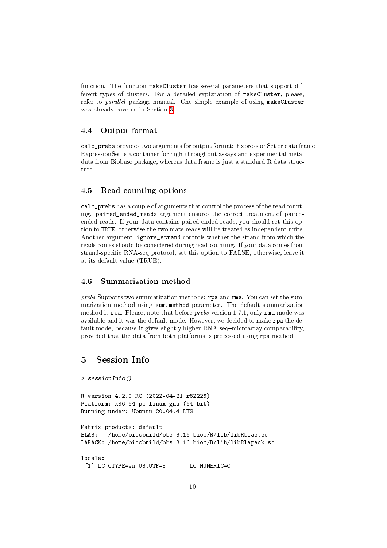function. The function makeCluster has several parameters that support different types of clusters. For a detailed explanation of makeCluster, please, refer to *parallel* package manual. One simple example of using makeCluster was already covered in Section [3.](#page-0-0)

#### 4.4 Output format

calc\_prebs provides two arguments for output format: ExpressionSet or data.frame. ExpressionSet is a container for high-throughput assays and experimental metadata from Biobase package, whereas data frame is just a standard R data structure.

#### 4.5 Read counting options

calc prebs has a couple of arguments that control the process of the read counting. paired\_ended\_reads argument ensures the correct treatment of pairedended reads. If your data contains paired-ended reads, you should set this option to TRUE, otherwise the two mate reads will be treated as independent units. Another argument, ignore\_strand controls whether the strand from which the reads comes should be considered during read-counting. If your data comes from strand-specific RNA-seq protocol, set this option to FALSE, otherwise, leave it at its default value (TRUE).

#### 4.6 Summarization method

prebs Supports two summarization methods: rpa and rma. You can set the summarization method using sum.method parameter. The default summarization method is rpa. Please, note that before prebs version 1.7.1, only rma mode was available and it was the default mode. However, we decided to make rpa the default mode, because it gives slightly higher RNA-seq-microarray comparability, provided that the data from both platforms is processed using rpa method.

### 5 Session Info

```
> sessionInfo()
R version 4.2.0 RC (2022-04-21 r82226)
Platform: x86_64-pc-linux-gnu (64-bit)
Running under: Ubuntu 20.04.4 LTS
Matrix products: default
BLAS: /home/biocbuild/bbs-3.16-bioc/R/lib/libRblas.so
LAPACK: /home/biocbuild/bbs-3.16-bioc/R/lib/libRlapack.so
locale:
 [1] LC_CTYPE=en_US.UTF-8 LC_NUMERIC=C
```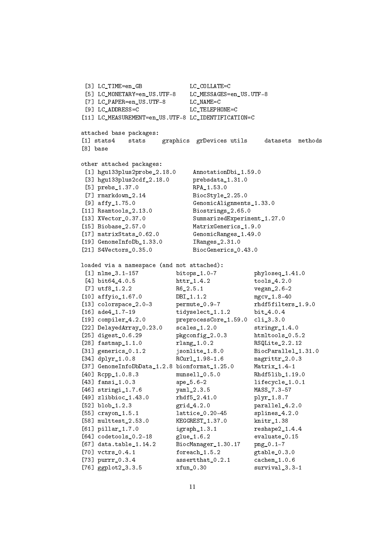```
[3] LC_TIME=en_GB LC_COLLATE=C
 [5] LC_MONETARY=en_US.UTF-8 LC_MESSAGES=en_US.UTF-8
[7] LC_PAPER=en_US.UTF-8 LC_NAME=C
[9] LC ADDRESS=C LC TELEPHONE=C
[11] LC_MEASUREMENT=en_US.UTF-8 LC_IDENTIFICATION=C
attached base packages:
[1] stats4 stats graphics grDevices utils datasets methods
[8] base
other attached packages:
[1] hgu133plus2probe_2.18.0 AnnotationDbi_1.59.0
[3] hgu133plus2cdf_2.18.0 prebsdata_1.31.0
[5] prebs_1.37.0 RPA_1.53.0
[7] rmarkdown_2.14 BiocStyle_2.25.0
[9] affy_1.75.0 GenomicAlignments_1.33.0
[11] Rsamtools_2.13.0 Biostrings_2.65.0
[13] XVector 0.37.0 SummarizedExperiment 1.27.0
[15] Biobase 2.57.0 MatrixGenerics 1.9.0
[17] matrixStats 0.62.0 GenomicRanges 1.49.0
[19] GenomeInfoDb_1.33.0 IRanges_2.31.0
[21] S4Vectors_0.35.0 BiocGenerics_0.43.0
loaded via a namespace (and not attached):
[1] nlme_3.1-157 bitops_1.0-7 phyloseq_1.41.0
[4] bit64_4.0.5 httr_1.4.2 tools_4.2.0
[7] utf8_1.2.2 R6_2.5.1 vegan_2.6-2
[10] affyio_1.67.0 DBI_1.1.2 mgcv_1.8-40
[13] colorspace_2.0-3 permute_0.9-7 rhdf5filters_1.9.0
[16] ade4_1.7-19 tidyselect_1.1.2 bit_4.0.4
[19] compiler_4.2.0 preprocessCore_1.59.0 cli_3.3.0
[22] DelayedArray_0.23.0 scales_1.2.0 stringr_1.4.0
[25] digest_0.6.29 pkgconfig_2.0.3 htmltools_0.5.2<br>[28] fastmap_1.1.0 rlang_1.0.2 RSQLite 2.2.12
[28] fastmap<sub>-1.1.0</sub> rlang<sub>-1.0.2</sub>
[31] generics_0.1.2 jsonlite_1.8.0 BiocParallel_1.31.0
[34] dplyr_1.0.8 RCurl_1.98-1.6 magrittr_2.0.3
[37] GenomeInfoDbData_1.2.8 biomformat_1.25.0 Matrix_1.4-1
[40] Rcpp_1.0.8.3 munsell_0.5.0 Rhdf5lib_1.19.0
[43] fansi_1.0.3 ape_5.6-2 lifecycle_1.0.1
[46] stringi_1.7.6 yaml_2.3.5 MASS_7.3-57
[49] zlibbioc_1.43.0 rhdf5_2.41.0 plyr_1.8.7
[52] blob_1.2.3 grid_4.2.0 parallel_4.2.0
[55] crayon_1.5.1 lattice_0.20-45 splines_4.2.0
[58] multtest_2.53.0 KEGGREST_1.37.0 knitr_1.38
[61] pillar_1.7.0 igraph_1.3.1 reshape2_1.4.4
[64] codetools_0.2-18 glue_1.6.2 evaluate_0.15
[67] data.table_1.14.2 BiocManager_1.30.17 png_0.1-7
[70] vctrs_0.4.1 foreach_1.5.2 gtable_0.3.0
[73] purrr_0.3.4 assertthat_0.2.1 cachem_1.0.6
[76] ggplot2_3.3.5 xfun_0.30 survival_3.3-1
```